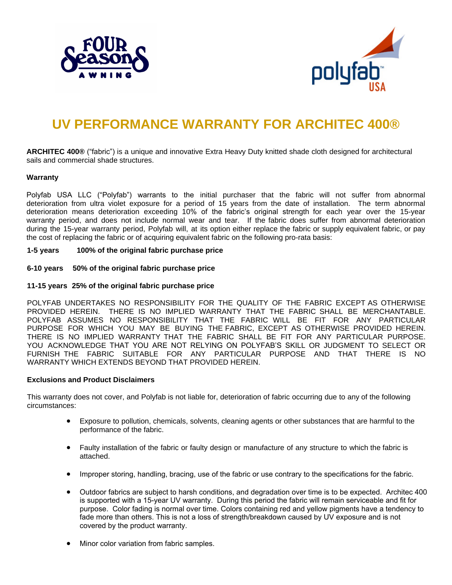



# **UV PERFORMANCE WARRANTY FOR ARCHITEC 400®**

**ARCHITEC 400®** ("fabric") is a unique and innovative Extra Heavy Duty knitted shade cloth designed for architectural sails and commercial shade structures.

#### **Warranty**

Polyfab USA LLC ("Polyfab") warrants to the initial purchaser that the fabric will not suffer from abnormal deterioration from ultra violet exposure for a period of 15 years from the date of installation. The term abnormal deterioration means deterioration exceeding 10% of the fabric's original strength for each year over the 15-year warranty period, and does not include normal wear and tear. If the fabric does suffer from abnormal deterioration during the 15-year warranty period, Polyfab will, at its option either replace the fabric or supply equivalent fabric, or pay the cost of replacing the fabric or of acquiring equivalent fabric on the following pro-rata basis:

**1-5 years 100% of the original fabric purchase price** 

**6-10 years 50% of the original fabric purchase price**

#### **11-15 years 25% of the original fabric purchase price**

POLYFAB UNDERTAKES NO RESPONSIBILITY FOR THE QUALITY OF THE FABRIC EXCEPT AS OTHERWISE PROVIDED HEREIN. THERE IS NO IMPLIED WARRANTY THAT THE FABRIC SHALL BE MERCHANTABLE. POLYFAB ASSUMES NO RESPONSIBILITY THAT THE FABRIC WILL BE FIT FOR ANY PARTICULAR PURPOSE FOR WHICH YOU MAY BE BUYING THE FABRIC, EXCEPT AS OTHERWISE PROVIDED HEREIN. THERE IS NO IMPLIED WARRANTY THAT THE FABRIC SHALL BE FIT FOR ANY PARTICULAR PURPOSE. YOU ACKNOWLEDGE THAT YOU ARE NOT RELYING ON POLYFAB'S SKILL OR JUDGMENT TO SELECT OR FURNISH THE FABRIC SUITABLE FOR ANY PARTICULAR PURPOSE AND THAT THERE IS NO WARRANTY WHICH EXTENDS BEYOND THAT PROVIDED HEREIN.

# **Exclusions and Product Disclaimers**

This warranty does not cover, and Polyfab is not liable for, deterioration of fabric occurring due to any of the following circumstances:

- Exposure to pollution, chemicals, solvents, cleaning agents or other substances that are harmful to the performance of the fabric.
- Faulty installation of the fabric or faulty design or manufacture of any structure to which the fabric is attached.
- Improper storing, handling, bracing, use of the fabric or use contrary to the specifications for the fabric.
- Outdoor fabrics are subject to harsh conditions, and degradation over time is to be expected. Architec 400 is supported with a 15-year UV warranty. During this period the fabric will remain serviceable and fit for purpose. Color fading is normal over time. Colors containing red and yellow pigments have a tendency to fade more than others. This is not a loss of strength/breakdown caused by UV exposure and is not covered by the product warranty.
- Minor color variation from fabric samples.